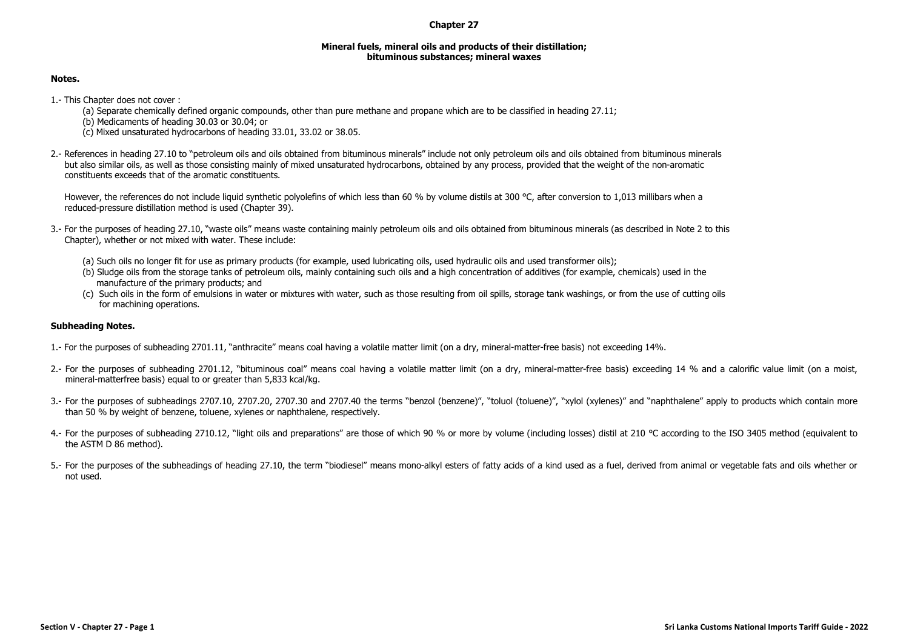## **Chapter 27**

## **Mineral fuels, mineral oils and products of their distillation; bituminous substances; mineral waxes**

## **Notes.**

- 1.- This Chapter does not cover :
	- (a) Separate chemically defined organic compounds, other than pure methane and propane which are to be classified in heading 27.11;
	- (b) Medicaments of heading 30.03 or 30.04; or
	- (c) Mixed unsaturated hydrocarbons of heading 33.01, 33.02 or 38.05.
- 2.- References in heading 27.10 to "petroleum oils and oils obtained from bituminous minerals" include not only petroleum oils and oils obtained from bituminous minerals but also similar oils, as well as those consisting mainly of mixed unsaturated hydrocarbons, obtained by any process, provided that the weight of the non-aromatic constituents exceeds that of the aromatic constituents.

However, the references do not include liquid synthetic polyolefins of which less than 60 % by volume distils at 300 °C. after conversion to 1.013 millibars when a reduced-pressure distillation method is used (Chapter 39).

- 3.- For the purposes of heading 27.10, "waste oils" means waste containing mainly petroleum oils and oils obtained from bituminous minerals (as described in Note 2 to this Chapter), whether or not mixed with water. These include:
	- (a) Such oils no longer fit for use as primary products (for example, used lubricating oils, used hydraulic oils and used transformer oils);
	- (b) Sludge oils from the storage tanks of petroleum oils, mainly containing such oils and a high concentration of additives (for example, chemicals) used in the manufacture of the primary products; and
	- (c) Such oils in the form of emulsions in water or mixtures with water, such as those resulting from oil spills, storage tank washings, or from the use of cutting oils for machining operations.

## **Subheading Notes.**

- 1.- For the purposes of subheading 2701.11, "anthracite" means coal having a volatile matter limit (on a dry, mineral-matter-free basis) not exceeding 14%.
- 2.- For the purposes of subheading 2701.12, "bituminous coal" means coal having a volatile matter limit (on a dry, mineral-matter-free basis) exceeding 14 % and a calorific value limit (on a moist, mineral-matterfree basis) equal to or greater than 5,833 kcal/kg.
- 3.- For the purposes of subheadings 2707.10, 2707.20, 2707.30 and 2707.40 the terms "benzol (benzene)", "toluol (toluene)", "xylol (xylenes)" and "naphthalene" apply to products which contain more than 50 % by weight of benzene, toluene, xylenes or naphthalene, respectively.
- 4.- For the purposes of subheading 2710.12, "light oils and preparations" are those of which 90 % or more by volume (including losses) distil at 210 °C according to the ISO 3405 method (equivalent to the ASTM D 86 method).
- 5.- For the purposes of the subheadings of heading 27.10, the term "biodiesel" means mono-alkyl esters of fatty acids of a kind used as a fuel, derived from animal or vegetable fats and oils whether or not used.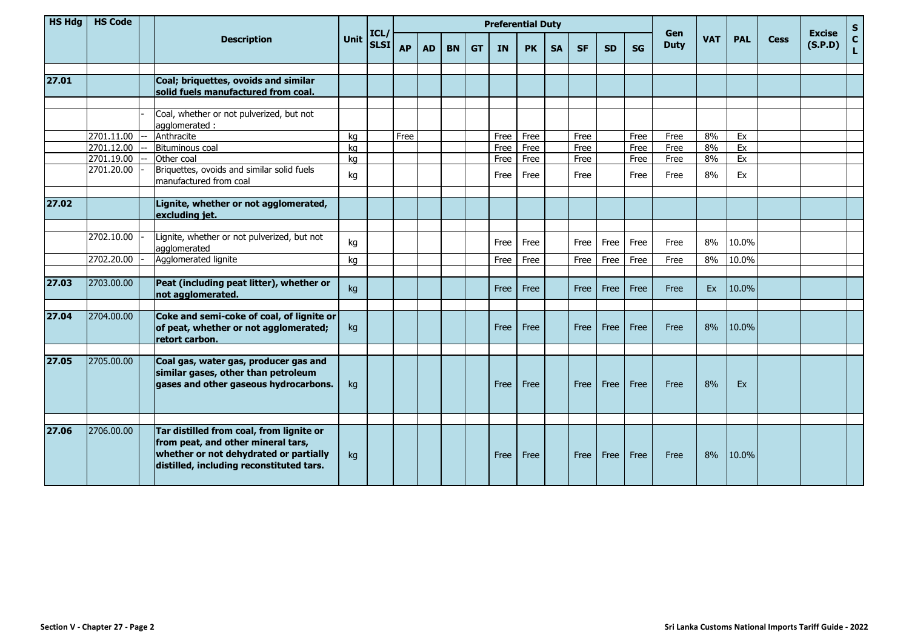| <b>HS Hdg</b> | <b>HS Code</b> |                                                                                                                                                                      |      |                     | <b>Preferential Duty</b> |           |           |           |           |           |           |             |           |           |                    |            |            |      |                          | S.                 |
|---------------|----------------|----------------------------------------------------------------------------------------------------------------------------------------------------------------------|------|---------------------|--------------------------|-----------|-----------|-----------|-----------|-----------|-----------|-------------|-----------|-----------|--------------------|------------|------------|------|--------------------------|--------------------|
|               |                | <b>Description</b>                                                                                                                                                   | Unit | ICL/<br><b>SLSI</b> | <b>AP</b>                | <b>AD</b> | <b>BN</b> | <b>GT</b> | <b>IN</b> | <b>PK</b> | <b>SA</b> | <b>SF</b>   | <b>SD</b> | <b>SG</b> | Gen<br><b>Duty</b> | <b>VAT</b> | <b>PAL</b> | Cess | <b>Excise</b><br>(S.P.D) | $\mathbf{C}$<br>L. |
|               |                |                                                                                                                                                                      |      |                     |                          |           |           |           |           |           |           |             |           |           |                    |            |            |      |                          |                    |
| 27.01         |                | Coal; briquettes, ovoids and similar                                                                                                                                 |      |                     |                          |           |           |           |           |           |           |             |           |           |                    |            |            |      |                          |                    |
|               |                | solid fuels manufactured from coal.                                                                                                                                  |      |                     |                          |           |           |           |           |           |           |             |           |           |                    |            |            |      |                          |                    |
|               |                | Coal, whether or not pulverized, but not<br>agglomerated:                                                                                                            |      |                     |                          |           |           |           |           |           |           |             |           |           |                    |            |            |      |                          |                    |
|               | 2701.11.00     | Anthracite                                                                                                                                                           | kg   |                     | Free                     |           |           |           | Free      | Free      |           | Free        |           | Free      | Free               | 8%         | Ex         |      |                          |                    |
|               | 2701.12.00     | Bituminous coal                                                                                                                                                      | ka   |                     |                          |           |           |           | Free      | Free      |           | Free        |           | Free      | Free               | 8%         | Ex         |      |                          |                    |
|               | 2701.19.00     | Other coal                                                                                                                                                           | kg   |                     |                          |           |           |           | Free      | Free      |           | Free        |           | Free      | Free               | 8%         | Ex         |      |                          |                    |
|               | 2701.20.00     | Briquettes, ovoids and similar solid fuels<br>manufactured from coal                                                                                                 | kg   |                     |                          |           |           |           | Free      | Free      |           | Free        |           | Free      | Free               | 8%         | Ex         |      |                          |                    |
|               |                |                                                                                                                                                                      |      |                     |                          |           |           |           |           |           |           |             |           |           |                    |            |            |      |                          |                    |
| 27.02         |                | Lignite, whether or not agglomerated,<br>excluding jet.                                                                                                              |      |                     |                          |           |           |           |           |           |           |             |           |           |                    |            |            |      |                          |                    |
|               |                |                                                                                                                                                                      |      |                     |                          |           |           |           |           |           |           |             |           |           |                    |            |            |      |                          |                    |
|               | 2702.10.00     | Lignite, whether or not pulverized, but not<br>agglomerated                                                                                                          | kg   |                     |                          |           |           |           | Free      | Free      |           | Free        | Free      | Free      | Free               | 8%         | 10.0%      |      |                          |                    |
|               | 2702.20.00     | Agglomerated lignite                                                                                                                                                 | kg   |                     |                          |           |           |           | Free      | Free      |           | Free        | Free      | Free      | Free               | 8%         | 10.0%      |      |                          |                    |
|               |                |                                                                                                                                                                      |      |                     |                          |           |           |           |           |           |           |             |           |           |                    |            |            |      |                          |                    |
| 27.03         | 2703.00.00     | Peat (including peat litter), whether or<br>not agglomerated.                                                                                                        | kg   |                     |                          |           |           |           | Free      | Free      |           | <b>Free</b> | Free      | Free      | Free               | Ex         | 10.0%      |      |                          |                    |
|               |                |                                                                                                                                                                      |      |                     |                          |           |           |           |           |           |           |             |           |           |                    |            |            |      |                          |                    |
| 27.04         | 2704.00.00     | Coke and semi-coke of coal, of lignite or<br>of peat, whether or not agglomerated;<br>retort carbon.                                                                 | kg   |                     |                          |           |           |           | Free      | Free      |           | Free        | Free      | Free      | Free               | 8%         | 10.0%      |      |                          |                    |
|               |                |                                                                                                                                                                      |      |                     |                          |           |           |           |           |           |           |             |           |           |                    |            |            |      |                          |                    |
| 27.05         | 2705.00.00     | Coal gas, water gas, producer gas and<br>similar gases, other than petroleum<br>gases and other gaseous hydrocarbons.                                                | kg   |                     |                          |           |           |           | Free      | Free      |           | Free        | Free      | Free      | Free               | 8%         | Ex         |      |                          |                    |
|               |                |                                                                                                                                                                      |      |                     |                          |           |           |           |           |           |           |             |           |           |                    |            |            |      |                          |                    |
| 27.06         | 2706.00.00     | Tar distilled from coal, from lignite or<br>from peat, and other mineral tars,<br>whether or not dehydrated or partially<br>distilled, including reconstituted tars. | kg   |                     |                          |           |           |           | Free      | Free      |           | Free        | Free      | Free      | Free               | 8%         | 10.0%      |      |                          |                    |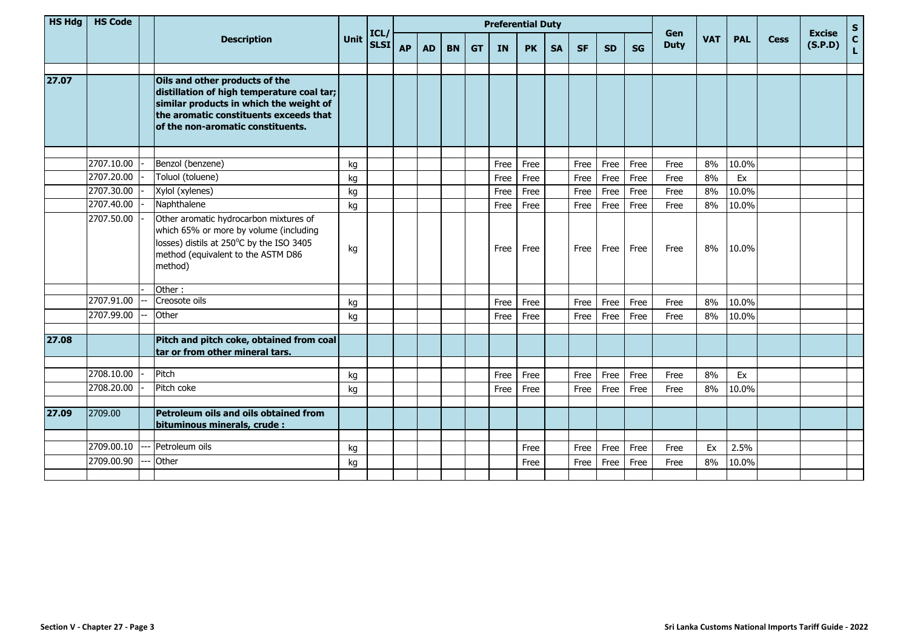| <b>HS Hdg</b> | <b>HS Code</b> |                                                                                                                                                                                                        |      |                     | <b>Preferential Duty</b> |           |           |           |           |           |           |           |           |           |                                  |    |            |             |                          | $\mathbf{s}$       |
|---------------|----------------|--------------------------------------------------------------------------------------------------------------------------------------------------------------------------------------------------------|------|---------------------|--------------------------|-----------|-----------|-----------|-----------|-----------|-----------|-----------|-----------|-----------|----------------------------------|----|------------|-------------|--------------------------|--------------------|
|               |                | <b>Description</b>                                                                                                                                                                                     | Unit | ICL/<br><b>SLSI</b> | <b>AP</b>                | <b>AD</b> | <b>BN</b> | <b>GT</b> | <b>IN</b> | <b>PK</b> | <b>SA</b> | <b>SF</b> | <b>SD</b> | <b>SG</b> | Gen<br><b>VAT</b><br><b>Duty</b> |    | <b>PAL</b> | <b>Cess</b> | <b>Excise</b><br>(S.P.D) | $\mathbf{c}$<br>Ĺ. |
| 27.07         |                | Oils and other products of the<br>distillation of high temperature coal tar;<br>similar products in which the weight of<br>the aromatic constituents exceeds that<br>of the non-aromatic constituents. |      |                     |                          |           |           |           |           |           |           |           |           |           |                                  |    |            |             |                          |                    |
|               | 2707.10.00     | Benzol (benzene)                                                                                                                                                                                       | kg   |                     |                          |           |           |           | Free      | Free      |           | Free      | Free      | Free      | Free                             | 8% | 10.0%      |             |                          |                    |
|               | 2707.20.00     | Toluol (toluene)                                                                                                                                                                                       | kg   |                     |                          |           |           |           | Free      | Free      |           | Free      | Free      | Free      | Free                             | 8% | Ex         |             |                          |                    |
|               | 2707.30.00     | Xylol (xylenes)                                                                                                                                                                                        | kg   |                     |                          |           |           |           | Free      | Free      |           | Free      | Free      | Free      | Free                             | 8% | 10.0%      |             |                          |                    |
|               | 2707.40.00     | Naphthalene                                                                                                                                                                                            | kg   |                     |                          |           |           |           | Free      | Free      |           | Free      | Free      | Free      | Free                             | 8% | 10.0%      |             |                          |                    |
|               | 2707.50.00     | Other aromatic hydrocarbon mixtures of<br>which 65% or more by volume (including<br>losses) distils at 250°C by the ISO 3405<br>method (equivalent to the ASTM D86<br>method)                          | kg   |                     |                          |           |           |           | Free      | Free      |           | Free      | Free      | Free      | Free                             | 8% | 10.0%      |             |                          |                    |
|               |                | Other:                                                                                                                                                                                                 |      |                     |                          |           |           |           |           |           |           |           |           |           |                                  |    |            |             |                          |                    |
|               | 2707.91.00     | Creosote oils                                                                                                                                                                                          | kg   |                     |                          |           |           |           | Free      | Free      |           | Free      | Free      | Free      | Free                             | 8% | 10.0%      |             |                          |                    |
|               | 2707.99.00     | Other                                                                                                                                                                                                  | kg   |                     |                          |           |           |           | Free      | Free      |           | Free      | Free      | Free      | Free                             | 8% | 10.0%      |             |                          |                    |
| 27.08         |                | Pitch and pitch coke, obtained from coal<br>tar or from other mineral tars.                                                                                                                            |      |                     |                          |           |           |           |           |           |           |           |           |           |                                  |    |            |             |                          |                    |
|               |                |                                                                                                                                                                                                        |      |                     |                          |           |           |           |           |           |           |           |           |           |                                  |    |            |             |                          |                    |
|               | 2708.10.00     | Pitch                                                                                                                                                                                                  | kg   |                     |                          |           |           |           | Free      | Free      |           | Free      | Free      | Free      | Free                             | 8% | Ex         |             |                          |                    |
|               | 2708.20.00     | Pitch coke                                                                                                                                                                                             | kg   |                     |                          |           |           |           | Free      | Free      |           | Free      | Free      | Free      | Free                             | 8% | 10.0%      |             |                          |                    |
| 27.09         | 2709.00        | Petroleum oils and oils obtained from<br>bituminous minerals, crude :                                                                                                                                  |      |                     |                          |           |           |           |           |           |           |           |           |           |                                  |    |            |             |                          |                    |
|               | 2709.00.10     | Petroleum oils                                                                                                                                                                                         | kg   |                     |                          |           |           |           |           | Free      |           | Free      | Free      | Free      | Free                             | Ex | 2.5%       |             |                          |                    |
|               | 2709.00.90     | Other                                                                                                                                                                                                  | kg   |                     |                          |           |           |           |           | Free      |           | Free      | Free      | Free      | Free                             | 8% | 10.0%      |             |                          |                    |
|               |                |                                                                                                                                                                                                        |      |                     |                          |           |           |           |           |           |           |           |           |           |                                  |    |            |             |                          |                    |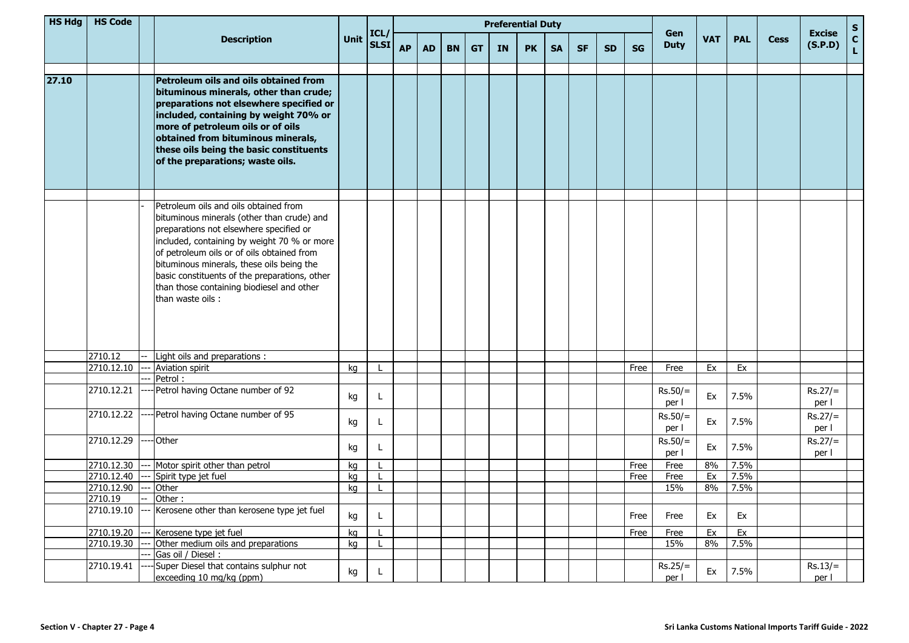| <b>HS Hdg</b> | <b>HS Code</b> |       |                                                                                                                                                                                                                                                                                                                                                                                            |      |              |           |           |           | <b>Preferential Duty</b> |    |           |           |           | Gen       |           |                    |            | <b>Excise</b> | $\mathsf{s}$ |                    |                    |
|---------------|----------------|-------|--------------------------------------------------------------------------------------------------------------------------------------------------------------------------------------------------------------------------------------------------------------------------------------------------------------------------------------------------------------------------------------------|------|--------------|-----------|-----------|-----------|--------------------------|----|-----------|-----------|-----------|-----------|-----------|--------------------|------------|---------------|--------------|--------------------|--------------------|
|               |                |       | <b>Description</b>                                                                                                                                                                                                                                                                                                                                                                         | Unit | ICL/<br>SLSI | <b>AP</b> | <b>AD</b> | <b>BN</b> | <b>GT</b>                | IN | <b>PK</b> | <b>SA</b> | <b>SF</b> | <b>SD</b> | <b>SG</b> | <b>Duty</b>        | <b>VAT</b> | <b>PAL</b>    | <b>Cess</b>  | (S.P.D)            | $\mathbf{C}$<br>L. |
| 27.10         |                |       | Petroleum oils and oils obtained from<br>bituminous minerals, other than crude;<br>preparations not elsewhere specified or<br>included, containing by weight 70% or<br>more of petroleum oils or of oils<br>obtained from bituminous minerals,<br>these oils being the basic constituents<br>of the preparations; waste oils.                                                              |      |              |           |           |           |                          |    |           |           |           |           |           |                    |            |               |              |                    |                    |
|               |                |       | Petroleum oils and oils obtained from<br>bituminous minerals (other than crude) and<br>preparations not elsewhere specified or<br>included, containing by weight 70 % or more<br>of petroleum oils or of oils obtained from<br>bituminous minerals, these oils being the<br>basic constituents of the preparations, other<br>than those containing biodiesel and other<br>than waste oils: |      |              |           |           |           |                          |    |           |           |           |           |           |                    |            |               |              |                    |                    |
|               | 2710.12        |       | Light oils and preparations :                                                                                                                                                                                                                                                                                                                                                              |      |              |           |           |           |                          |    |           |           |           |           |           |                    |            |               |              |                    |                    |
|               | 2710.12.10     |       | Aviation spirit                                                                                                                                                                                                                                                                                                                                                                            | kg   |              |           |           |           |                          |    |           |           |           |           | Free      | Free               | Ex         | Ex            |              |                    |                    |
|               |                |       | Petrol:                                                                                                                                                                                                                                                                                                                                                                                    |      |              |           |           |           |                          |    |           |           |           |           |           |                    |            |               |              |                    |                    |
|               | 2710.12.21     |       | -- Petrol having Octane number of 92                                                                                                                                                                                                                                                                                                                                                       | kg   | L            |           |           |           |                          |    |           |           |           |           |           | $Rs.50/=$<br>per l | Ex         | 7.5%          |              | $Rs.27/=$<br>per l |                    |
|               | 2710.12.22     |       | --- Petrol having Octane number of 95                                                                                                                                                                                                                                                                                                                                                      | kg   | L            |           |           |           |                          |    |           |           |           |           |           | $Rs.50/=$<br>per l | Ex         | 7.5%          |              | $Rs.27/=$<br>per l |                    |
|               | 2710.12.29     |       | --- Other                                                                                                                                                                                                                                                                                                                                                                                  | kg   |              |           |           |           |                          |    |           |           |           |           |           | $Rs.50/=$<br>per l | Ex         | 7.5%          |              | $Rs.27/=$<br>per l |                    |
|               | 2710.12.30     |       | Motor spirit other than petrol                                                                                                                                                                                                                                                                                                                                                             | kg   |              |           |           |           |                          |    |           |           |           |           | Free      | Free               | 8%         | 7.5%          |              |                    |                    |
|               | 2710.12.40     |       | Spirit type jet fuel                                                                                                                                                                                                                                                                                                                                                                       | kg   |              |           |           |           |                          |    |           |           |           |           | Free      | Free               | Ex         | 7.5%          |              |                    |                    |
|               | 2710.12.90     | $---$ | Other                                                                                                                                                                                                                                                                                                                                                                                      | kg   |              |           |           |           |                          |    |           |           |           |           |           | 15%                | 8%         | 7.5%          |              |                    |                    |
|               | 2710.19        |       | Other:                                                                                                                                                                                                                                                                                                                                                                                     |      |              |           |           |           |                          |    |           |           |           |           |           |                    |            |               |              |                    |                    |
|               | 2710.19.10     |       | Kerosene other than kerosene type jet fuel                                                                                                                                                                                                                                                                                                                                                 | kg   | L            |           |           |           |                          |    |           |           |           |           | Free      | Free               | Ex         | Ex            |              |                    |                    |
|               | 2710.19.20     |       | Kerosene type jet fuel                                                                                                                                                                                                                                                                                                                                                                     | kg   |              |           |           |           |                          |    |           |           |           |           | Free      | Free               | Ex         | Ex            |              |                    |                    |
|               | 2710.19.30     |       | Other medium oils and preparations                                                                                                                                                                                                                                                                                                                                                         | kg   |              |           |           |           |                          |    |           |           |           |           |           | 15%                | 8%         | 7.5%          |              |                    |                    |
|               |                |       | Gas oil / Diesel:                                                                                                                                                                                                                                                                                                                                                                          |      |              |           |           |           |                          |    |           |           |           |           |           |                    |            |               |              |                    |                    |
|               | 2710.19.41     |       | Super Diesel that contains sulphur not<br>exceeding 10 mg/kg (ppm)                                                                                                                                                                                                                                                                                                                         | kg   | L.           |           |           |           |                          |    |           |           |           |           |           | $Rs.25/=$<br>per l | Ex         | 7.5%          |              | $Rs.13/=$<br>per l |                    |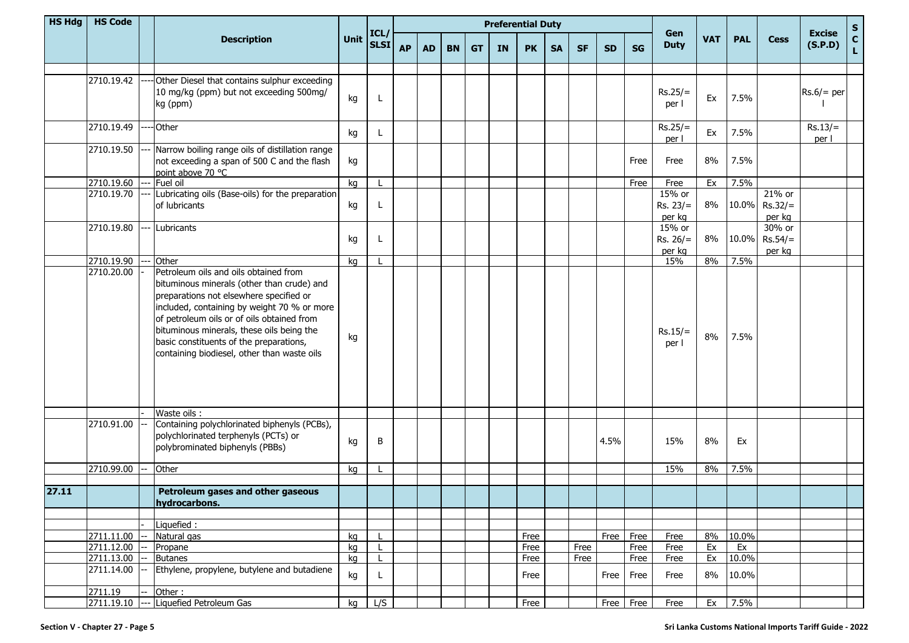| <b>HS Hdg</b> | <b>HS Code</b> |     |                                                                                                                                                                                                                                                                                                                                                                    |      |                     |           | <b>Preferential Duty</b> |           |           |           |           |           |           |           |           |                                |            |            |                               |                          |                    |
|---------------|----------------|-----|--------------------------------------------------------------------------------------------------------------------------------------------------------------------------------------------------------------------------------------------------------------------------------------------------------------------------------------------------------------------|------|---------------------|-----------|--------------------------|-----------|-----------|-----------|-----------|-----------|-----------|-----------|-----------|--------------------------------|------------|------------|-------------------------------|--------------------------|--------------------|
|               |                |     | <b>Description</b>                                                                                                                                                                                                                                                                                                                                                 | Unit | ICL/<br><b>SLSI</b> | <b>AP</b> | <b>AD</b>                | <b>BN</b> | <b>GT</b> | <b>IN</b> | <b>PK</b> | <b>SA</b> | <b>SF</b> | <b>SD</b> | <b>SG</b> | Gen<br><b>Duty</b>             | <b>VAT</b> | <b>PAL</b> | <b>Cess</b>                   | <b>Excise</b><br>(S.P.D) | $\frac{s}{c}$<br>L |
|               | 2710.19.42     |     | Other Diesel that contains sulphur exceeding<br>10 mg/kg (ppm) but not exceeding 500mg/<br>kg (ppm)                                                                                                                                                                                                                                                                | kg   |                     |           |                          |           |           |           |           |           |           |           |           | $Rs.25/=$<br>per I             | Ex         | 7.5%       |                               | $Rs.6/=per$              |                    |
|               | 2710.19.49     |     | Other                                                                                                                                                                                                                                                                                                                                                              | kg   | L                   |           |                          |           |           |           |           |           |           |           |           | $Rs.25/=$<br>per l             | Ex         | 7.5%       |                               | $Rs.13/=$<br>per l       |                    |
|               | 2710.19.50     |     | Narrow boiling range oils of distillation range<br>not exceeding a span of 500 C and the flash<br>point above 70 °C                                                                                                                                                                                                                                                | kg   |                     |           |                          |           |           |           |           |           |           |           | Free      | Free                           | 8%         | 7.5%       |                               |                          |                    |
|               | 2710.19.60     |     | Fuel oil                                                                                                                                                                                                                                                                                                                                                           | kg   |                     |           |                          |           |           |           |           |           |           |           | Free      | Free                           | Ex         | 7.5%       |                               |                          |                    |
|               | 2710.19.70     |     | Lubricating oils (Base-oils) for the preparation<br>of lubricants                                                                                                                                                                                                                                                                                                  | kg   |                     |           |                          |           |           |           |           |           |           |           |           | 15% or<br>$Rs. 23/=$<br>per kg | 8%         | 10.0%      | 21% or<br>$Rs.32/=$<br>per kg |                          |                    |
|               | 2710.19.80     | --- | Lubricants                                                                                                                                                                                                                                                                                                                                                         | kg   |                     |           |                          |           |           |           |           |           |           |           |           | 15% or<br>$Rs. 26/=$<br>per kg | 8%         | 10.0%      | 30% or<br>$Rs.54/=$<br>per kg |                          |                    |
|               | 2710.19.90     |     | Other                                                                                                                                                                                                                                                                                                                                                              | kq   |                     |           |                          |           |           |           |           |           |           |           |           | 15%                            | 8%         | 7.5%       |                               |                          |                    |
|               | 2710.20.00     |     | Petroleum oils and oils obtained from<br>bituminous minerals (other than crude) and<br>preparations not elsewhere specified or<br>included, containing by weight 70 % or more<br>of petroleum oils or of oils obtained from<br>bituminous minerals, these oils being the<br>basic constituents of the preparations,<br>containing biodiesel, other than waste oils | kg   |                     |           |                          |           |           |           |           |           |           |           |           | $Rs.15/=$<br>per l             | 8%         | 7.5%       |                               |                          |                    |
|               | 2710.91.00     |     | Waste oils:<br>Containing polychlorinated biphenyls (PCBs),<br>polychlorinated terphenyls (PCTs) or<br>polybrominated biphenyls (PBBs)                                                                                                                                                                                                                             | kg   | B                   |           |                          |           |           |           |           |           |           | 4.5%      |           | 15%                            | 8%         | Ex         |                               |                          |                    |
|               | 2710.99.00     |     | Other                                                                                                                                                                                                                                                                                                                                                              | kg   |                     |           |                          |           |           |           |           |           |           |           |           | 15%                            | 8%         | 7.5%       |                               |                          |                    |
|               |                |     |                                                                                                                                                                                                                                                                                                                                                                    |      |                     |           |                          |           |           |           |           |           |           |           |           |                                |            |            |                               |                          |                    |
| 27.11         |                |     | Petroleum gases and other gaseous<br>hydrocarbons.                                                                                                                                                                                                                                                                                                                 |      |                     |           |                          |           |           |           |           |           |           |           |           |                                |            |            |                               |                          |                    |
|               |                |     | Liquefied:                                                                                                                                                                                                                                                                                                                                                         |      |                     |           |                          |           |           |           |           |           |           |           |           |                                |            |            |                               |                          |                    |
|               | 2711.11.00     |     | Natural gas                                                                                                                                                                                                                                                                                                                                                        | kg   |                     |           |                          |           |           |           | Free      |           |           | Free      | Free      | Free                           | 8%         | 10.0%      |                               |                          |                    |
|               | 2711.12.00     |     | Propane                                                                                                                                                                                                                                                                                                                                                            | kg   |                     |           |                          |           |           |           | Free      |           | Free      |           | Free      | Free                           | Ex         | Ex         |                               |                          |                    |
|               | 2711.13.00     |     | <b>Butanes</b>                                                                                                                                                                                                                                                                                                                                                     | kq   |                     |           |                          |           |           |           | Free      |           | Free      |           | Free      | Free                           | Ex         | 10.0%      |                               |                          |                    |
|               | 2711.14.00     |     | Ethylene, propylene, butylene and butadiene                                                                                                                                                                                                                                                                                                                        | kg   | L                   |           |                          |           |           |           | Free      |           |           | Free      | Free      | Free                           | 8%         | 10.0%      |                               |                          |                    |
|               | 2711.19        |     | Other:                                                                                                                                                                                                                                                                                                                                                             |      |                     |           |                          |           |           |           |           |           |           |           |           |                                |            |            |                               |                          |                    |
|               | 2711.19.10     | --- | Liquefied Petroleum Gas                                                                                                                                                                                                                                                                                                                                            | kg   | L/S                 |           |                          |           |           |           | Free      |           |           |           | Free Free | Free                           | Ex         | 7.5%       |                               |                          |                    |